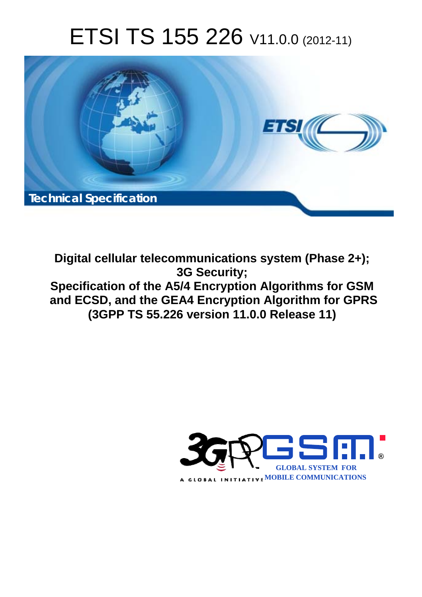# ETSI TS 155 226 V11.0.0 (2012-11)



**Digital cellular telecommunications system (Phase 2+); 3G Security; Specification of the A5/4 Encryption Algorithms for GSM and ECSD, and the GEA4 Encryption Algorithm for GPRS (3GPP TS 55.226 version 11.0.0 Release 11)** 

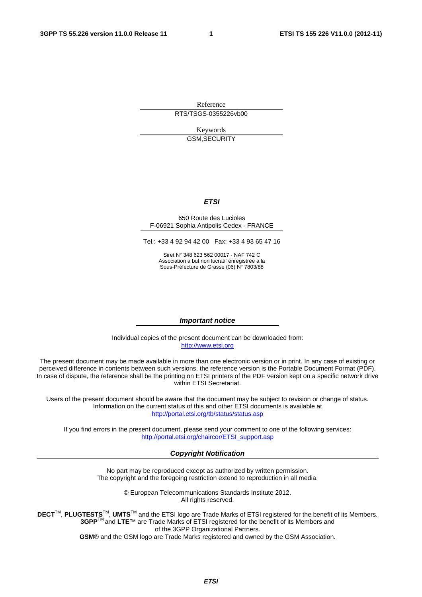Reference RTS/TSGS-0355226vb00

> Keywords GSM,SECURITY

#### *ETSI*

#### 650 Route des Lucioles F-06921 Sophia Antipolis Cedex - FRANCE

Tel.: +33 4 92 94 42 00 Fax: +33 4 93 65 47 16

Siret N° 348 623 562 00017 - NAF 742 C Association à but non lucratif enregistrée à la Sous-Préfecture de Grasse (06) N° 7803/88

#### *Important notice*

Individual copies of the present document can be downloaded from: [http://www.etsi.org](http://www.etsi.org/)

The present document may be made available in more than one electronic version or in print. In any case of existing or perceived difference in contents between such versions, the reference version is the Portable Document Format (PDF). In case of dispute, the reference shall be the printing on ETSI printers of the PDF version kept on a specific network drive within ETSI Secretariat.

Users of the present document should be aware that the document may be subject to revision or change of status. Information on the current status of this and other ETSI documents is available at <http://portal.etsi.org/tb/status/status.asp>

If you find errors in the present document, please send your comment to one of the following services: [http://portal.etsi.org/chaircor/ETSI\\_support.asp](http://portal.etsi.org/chaircor/ETSI_support.asp)

#### *Copyright Notification*

No part may be reproduced except as authorized by written permission. The copyright and the foregoing restriction extend to reproduction in all media.

> © European Telecommunications Standards Institute 2012. All rights reserved.

DECT<sup>™</sup>, PLUGTESTS<sup>™</sup>, UMTS<sup>™</sup> and the ETSI logo are Trade Marks of ETSI registered for the benefit of its Members. **3GPP**TM and **LTE**™ are Trade Marks of ETSI registered for the benefit of its Members and of the 3GPP Organizational Partners.

**GSM**® and the GSM logo are Trade Marks registered and owned by the GSM Association.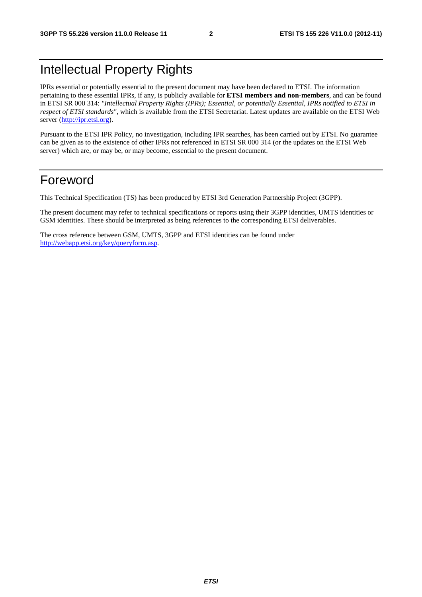### Intellectual Property Rights

IPRs essential or potentially essential to the present document may have been declared to ETSI. The information pertaining to these essential IPRs, if any, is publicly available for **ETSI members and non-members**, and can be found in ETSI SR 000 314: *"Intellectual Property Rights (IPRs); Essential, or potentially Essential, IPRs notified to ETSI in respect of ETSI standards"*, which is available from the ETSI Secretariat. Latest updates are available on the ETSI Web server [\(http://ipr.etsi.org](http://webapp.etsi.org/IPR/home.asp)).

Pursuant to the ETSI IPR Policy, no investigation, including IPR searches, has been carried out by ETSI. No guarantee can be given as to the existence of other IPRs not referenced in ETSI SR 000 314 (or the updates on the ETSI Web server) which are, or may be, or may become, essential to the present document.

### Foreword

This Technical Specification (TS) has been produced by ETSI 3rd Generation Partnership Project (3GPP).

The present document may refer to technical specifications or reports using their 3GPP identities, UMTS identities or GSM identities. These should be interpreted as being references to the corresponding ETSI deliverables.

The cross reference between GSM, UMTS, 3GPP and ETSI identities can be found under [http://webapp.etsi.org/key/queryform.asp.](http://webapp.etsi.org/key/queryform.asp)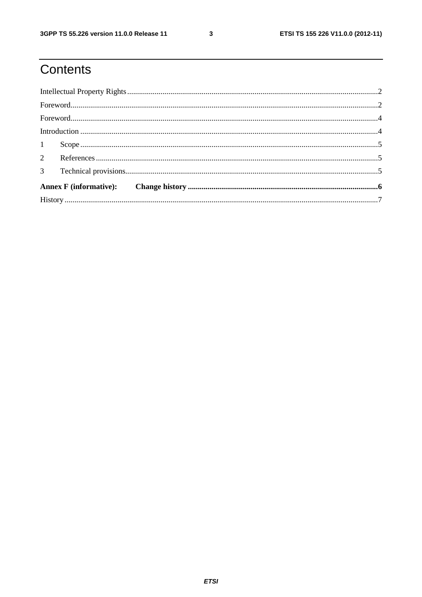# Contents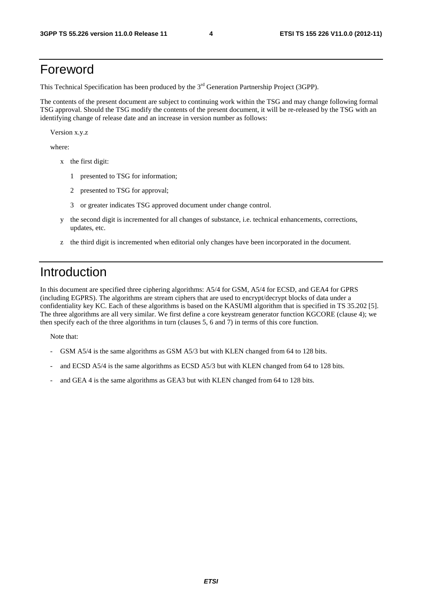#### Foreword

This Technical Specification has been produced by the 3<sup>rd</sup> Generation Partnership Project (3GPP).

The contents of the present document are subject to continuing work within the TSG and may change following formal TSG approval. Should the TSG modify the contents of the present document, it will be re-released by the TSG with an identifying change of release date and an increase in version number as follows:

Version x.y.z

where:

- x the first digit:
	- 1 presented to TSG for information;
	- 2 presented to TSG for approval;
	- 3 or greater indicates TSG approved document under change control.
- y the second digit is incremented for all changes of substance, i.e. technical enhancements, corrections, updates, etc.
- z the third digit is incremented when editorial only changes have been incorporated in the document.

#### Introduction

In this document are specified three ciphering algorithms: A5/4 for GSM, A5/4 for ECSD, and GEA4 for GPRS (including EGPRS). The algorithms are stream ciphers that are used to encrypt/decrypt blocks of data under a confidentiality key KC. Each of these algorithms is based on the KASUMI algorithm that is specified in TS 35.202 [5]. The three algorithms are all very similar. We first define a core keystream generator function KGCORE (clause 4); we then specify each of the three algorithms in turn (clauses 5, 6 and 7) in terms of this core function.

Note that:

- GSM  $A5/4$  is the same algorithms as GSM  $A5/3$  but with KLEN changed from 64 to 128 bits.
- and ECSD A5/4 is the same algorithms as ECSD A5/3 but with KLEN changed from 64 to 128 bits.
- and GEA 4 is the same algorithms as GEA3 but with KLEN changed from 64 to 128 bits.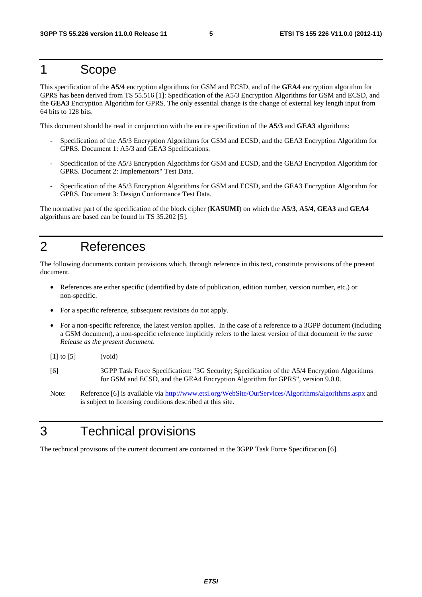#### 1 Scope

This specification of the **A5/4** encryption algorithms for GSM and ECSD, and of the **GEA4** encryption algorithm for GPRS has been derived from TS 55.516 [1]: Specification of the A5/3 Encryption Algorithms for GSM and ECSD, and the **GEA3** Encryption Algorithm for GPRS. The only essential change is the change of external key length input from 64 bits to 128 bits.

This document should be read in conjunction with the entire specification of the **A5/3** and **GEA3** algorithms:

- Specification of the A5/3 Encryption Algorithms for GSM and ECSD, and the GEA3 Encryption Algorithm for GPRS. Document 1: A5/3 and GEA3 Specifications.
- Specification of the A5/3 Encryption Algorithms for GSM and ECSD, and the GEA3 Encryption Algorithm for GPRS. Document 2: Implementors" Test Data.
- Specification of the A5/3 Encryption Algorithms for GSM and ECSD, and the GEA3 Encryption Algorithm for GPRS. Document 3: Design Conformance Test Data.

The normative part of the specification of the block cipher (**KASUMI**) on which the **A5/3**, **A5/4**, **GEA3** and **GEA4** algorithms are based can be found in TS 35.202 [5].

### 2 References

The following documents contain provisions which, through reference in this text, constitute provisions of the present document.

- References are either specific (identified by date of publication, edition number, version number, etc.) or non-specific.
- For a specific reference, subsequent revisions do not apply.
- For a non-specific reference, the latest version applies. In the case of a reference to a 3GPP document (including a GSM document), a non-specific reference implicitly refers to the latest version of that document *in the same Release as the present document*.

[1] to [5] (void)

- [6] 3GPP Task Force Specification: "3G Security; Specification of the A5/4 Encryption Algorithms for GSM and ECSD, and the GEA4 Encryption Algorithm for GPRS", version 9.0.0.
- Note: Reference [6] is available via <http://www.etsi.org/WebSite/OurServices/Algorithms/algorithms.aspx> and is subject to licensing conditions described at this site.

### 3 Technical provisions

The technical provisons of the current document are contained in the 3GPP Task Force Specification [6].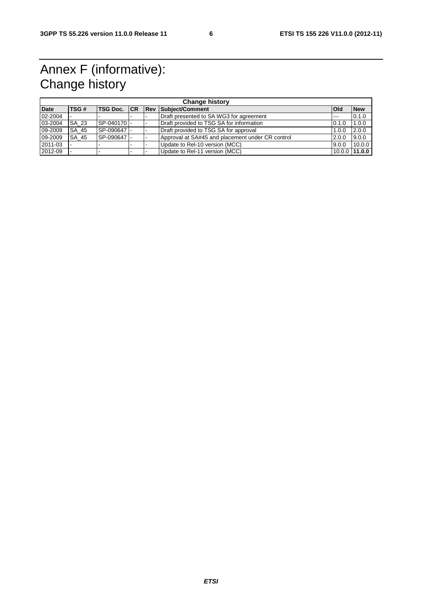## Annex F (informative): Change history

| <b>Change history</b> |       |                         |  |  |                                                  |              |                 |  |  |  |
|-----------------------|-------|-------------------------|--|--|--------------------------------------------------|--------------|-----------------|--|--|--|
| <b>Date</b>           | TSG#  | <b>TSG Doc. CR Rev.</b> |  |  | Subject/Comment                                  | <b>l</b> Old | <b>New</b>      |  |  |  |
| 02-2004               |       |                         |  |  | Draft presented to SA WG3 for agreement          | $- - -$      | 0.1.0           |  |  |  |
| 03-2004               | SA 23 | SP-040170               |  |  | Draft provided to TSG SA for information         | 0.1.0        | 1.0.0           |  |  |  |
| 09-2009               | SA 45 | SP-090647               |  |  | Draft provided to TSG SA for approval            | 1.0.0        | 2.0.0           |  |  |  |
| 09-2009               | SA 45 | SP-090647               |  |  | Approval at SA#45 and placement under CR control | 2.0.0        | 9.0.0           |  |  |  |
| 2011-03               |       |                         |  |  | Update to Rel-10 version (MCC)                   | 9.0.0        | 10.0.0          |  |  |  |
| 2012-09               |       |                         |  |  | Update to Rel-11 version (MCC)                   |              | $10.0.0$ 11.0.0 |  |  |  |